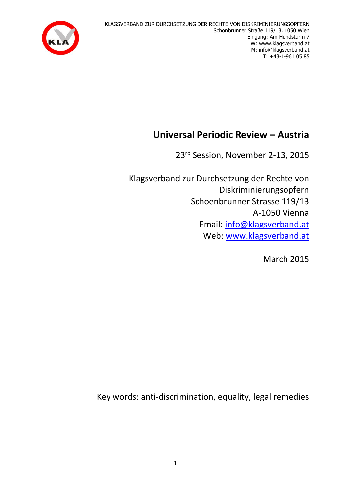KLAGSVERBAND ZUR DURCHSETZUNG DER RECHTE VON DISKRIMINIERUNGSOPFERN Schönbrunner Straße 119/13, 1050 Wien Eingang: Am Hundsturm 7 W: www.klagsverband.at M: info@klagsverband.at T: +43-1-961 05 85



# **Universal Periodic Review – Austria**

23rd Session, November 2-13, 2015

Klagsverband zur Durchsetzung der Rechte von Diskriminierungsopfern Schoenbrunner Strasse 119/13 A-1050 Vienna Email: [info@klagsverband.at](mailto:info@klagsverband.at) Web: [www.klagsverband.at](http://www.klagsverband.at/)

March 2015

Key words: anti-discrimination, equality, legal remedies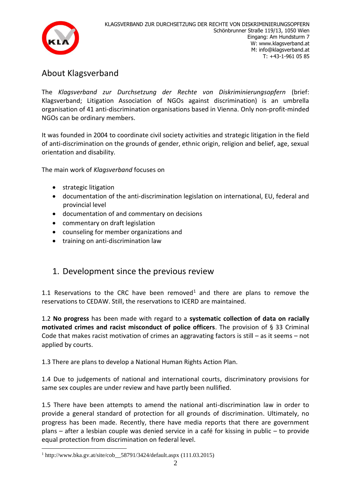

## About Klagsverband

The *Klagsverband zur Durchsetzung der Rechte von Diskriminierungsopfern* (brief: Klagsverband; Litigation Association of NGOs against discrimination) is an umbrella organisation of 41 anti-discrimination organisations based in Vienna. Only non-profit-minded NGOs can be ordinary members.

It was founded in 2004 to coordinate civil society activities and strategic litigation in the field of anti-discrimination on the grounds of gender, ethnic origin, religion and belief, age, sexual orientation and disability.

The main work of *Klagsverband* focuses on

- strategic litigation
- documentation of the anti-discrimination legislation on international, EU, federal and provincial level
- documentation of and commentary on decisions
- commentary on draft legislation
- counseling for member organizations and
- training on anti-discrimination law

### 1. Development since the previous review

1.1 Reservations to the CRC have been removed<sup>1</sup> and there are plans to remove the reservations to CEDAW. Still, the reservations to ICERD are maintained.

1.2 **No progress** has been made with regard to a **systematic collection of data on racially motivated crimes and racist misconduct of police officers**. The provision of § 33 Criminal Code that makes racist motivation of crimes an aggravating factors is still – as it seems – not applied by courts.

1.3 There are plans to develop a National Human Rights Action Plan.

1.4 Due to judgements of national and international courts, discriminatory provisions for same sex couples are under review and have partly been nullified.

1.5 There have been attempts to amend the national anti-discrimination law in order to provide a general standard of protection for all grounds of discrimination. Ultimately, no progress has been made. Recently, there have media reports that there are government plans – after a lesbian couple was denied service in a café for kissing in public – to provide equal protection from discrimination on federal level.

1

 $1 \text{ http://www.bka.gv.at/site/cob}$  58791/3424/default.aspx (111.03.2015)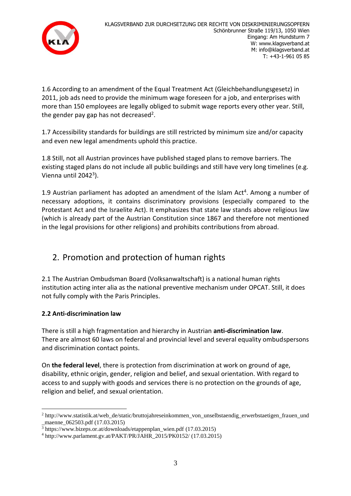

1.6 According to an amendment of the Equal Treatment Act (Gleichbehandlungsgesetz) in 2011, job ads need to provide the minimum wage foreseen for a job, and enterprises with more than 150 employees are legally obliged to submit wage reports every other year. Still, the gender pay gap has not decreased<sup>2</sup>.

1.7 Accessibility standards for buildings are still restricted by minimum size and/or capacity and even new legal amendments uphold this practice.

1.8 Still, not all Austrian provinces have published staged plans to remove barriers. The existing staged plans do not include all public buildings and still have very long timelines (e.g. Vienna until 2042<sup>3</sup>).

1.9 Austrian parliament has adopted an amendment of the Islam Act<sup>4</sup>. Among a number of necessary adoptions, it contains discriminatory provisions (especially compared to the Protestant Act and the Israelite Act). It emphasizes that state law stands above religious law (which is already part of the Austrian Constitution since 1867 and therefore not mentioned in the legal provisions for other religions) and prohibits contributions from abroad.

# 2. Promotion and protection of human rights

2.1 The Austrian Ombudsman Board (Volksanwaltschaft) is a national human rights institution acting inter alia as the national preventive mechanism under OPCAT. Still, it does not fully comply with the Paris Principles.

#### **2.2 Anti-discrimination law**

There is still a high fragmentation and hierarchy in Austrian **anti-discrimination law**. There are almost 60 laws on federal and provincial level and several equality ombudspersons and discrimination contact points.

On **the federal level**, there is protection from discrimination at work on ground of age, disability, ethnic origin, gender, religion and belief, and sexual orientation. With regard to access to and supply with goods and services there is no protection on the grounds of age, religion and belief, and sexual orientation.

<sup>&</sup>lt;u>.</u> <sup>2</sup> http://www.statistik.at/web\_de/static/bruttojahreseinkommen\_von\_unselbstaendig\_erwerbstaetigen\_frauen\_und \_maenne\_062503.pdf (17.03.2015)

<sup>3</sup> https://www.bizeps.or.at/downloads/etappenplan\_wien.pdf (17.03.2015)

<sup>4</sup> http://www.parlament.gv.at/PAKT/PR/JAHR\_2015/PK0152/ (17.03.2015)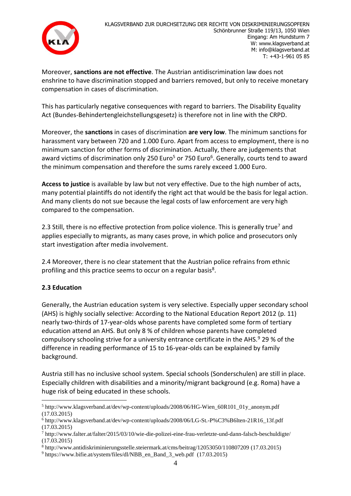

Moreover, **sanctions are not effective**. The Austrian antidiscrimination law does not enshrine to have discrimination stopped and barriers removed, but only to receive monetary compensation in cases of discrimination.

This has particularly negative consequences with regard to barriers. The Disability Equality Act (Bundes-Behindertengleichstellungsgesetz) is therefore not in line with the CRPD.

Moreover, the **sanctions** in cases of discrimination **are very low**. The minimum sanctions for harassment vary between 720 and 1.000 Euro. Apart from access to employment, there is no minimum sanction for other forms of discrimination. Actually, there are judgements that award victims of discrimination only 250 Euro<sup>5</sup> or 750 Euro<sup>6</sup>. Generally, courts tend to award the minimum compensation and therefore the sums rarely exceed 1.000 Euro.

**Access to justice** is available by law but not very effective. Due to the high number of acts, many potential plaintiffs do not identify the right act that would be the basis for legal action. And many clients do not sue because the legal costs of law enforcement are very high compared to the compensation.

2.3 Still, there is no effective protection from police violence. This is generally true<sup>7</sup> and applies especially to migrants, as many cases prove, in which police and prosecutors only start investigation after media involvement.

2.4 Moreover, there is no clear statement that the Austrian police refrains from ethnic profiling and this practice seems to occur on a regular basis<sup>8</sup>.

#### **2.3 Education**

Generally, the Austrian education system is very selective. Especially upper secondary school (AHS) is highly socially selective: According to the National Education Report 2012 (p. 11) nearly two-thirds of 17-year-olds whose parents have completed some form of tertiary education attend an AHS. But only 8 % of children whose parents have completed compulsory schooling strive for a university entrance certificate in the AHS. $9$  29 % of the difference in reading performance of 15 to 16-year-olds can be explained by family background.

Austria still has no inclusive school system. Special schools (Sonderschulen) are still in place. Especially children with disabilities and a minority/migrant background (e.g. Roma) have a huge risk of being educated in these schools.

<sup>&</sup>lt;u>.</u> <sup>5</sup> http://www.klagsverband.at/dev/wp-content/uploads/2008/06/HG-Wien\_60R101\_01y\_anonym.pdf (17.03.2015)

<sup>6</sup> http://www.klagsverband.at/dev/wp-content/uploads/2008/06/LG-St.-P%C3%B6lten-21R16\_13f.pdf (17.03.2015)

<sup>7</sup> http://www.falter.at/falter/2015/03/10/wie-die-polizei-eine-frau-verletzte-und-dann-falsch-beschuldigte/ (17.03.2015)

<sup>8</sup> http://www.antidiskriminierungsstelle.steiermark.at/cms/beitrag/12053050/110807209 (17.03.2015)

<sup>9</sup> https://www.bifie.at/system/files/dl/NBB\_en\_Band\_3\_web.pdf (17.03.2015)